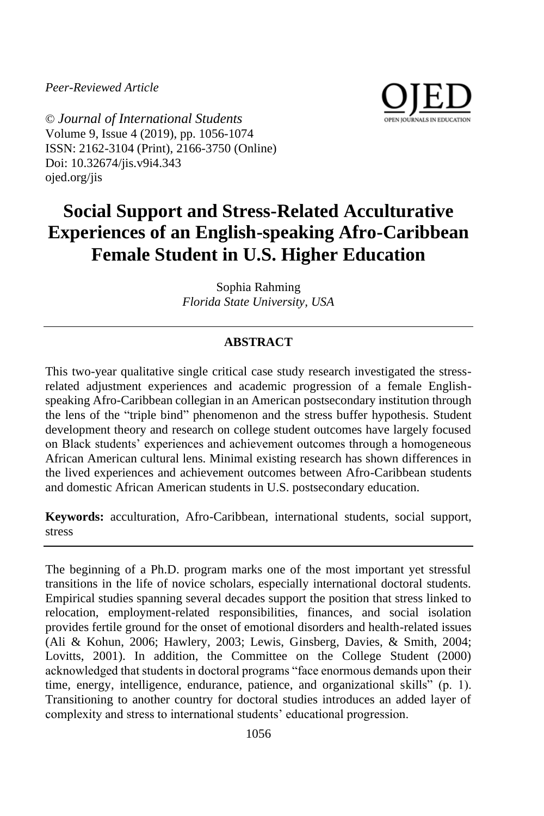*Peer-Reviewed Article*



© *Journal of International Students* Volume 9, Issue 4 (2019), pp. 1056-1074 ISSN: 2162-3104 (Print), 2166-3750 (Online) Doi: 10.32674/jis.v9i4.343 ojed.org/jis

# **Social Support and Stress-Related Acculturative Experiences of an English-speaking Afro-Caribbean Female Student in U.S. Higher Education**

Sophia Rahming *Florida State University, USA*

# **ABSTRACT**

This two-year qualitative single critical case study research investigated the stressrelated adjustment experiences and academic progression of a female Englishspeaking Afro-Caribbean collegian in an American postsecondary institution through the lens of the "triple bind" phenomenon and the stress buffer hypothesis. Student development theory and research on college student outcomes have largely focused on Black students' experiences and achievement outcomes through a homogeneous African American cultural lens. Minimal existing research has shown differences in the lived experiences and achievement outcomes between Afro-Caribbean students and domestic African American students in U.S. postsecondary education.

**Keywords:** acculturation, Afro-Caribbean, international students, social support, stress

The beginning of a Ph.D. program marks one of the most important yet stressful transitions in the life of novice scholars, especially international doctoral students. Empirical studies spanning several decades support the position that stress linked to relocation, employment-related responsibilities, finances, and social isolation provides fertile ground for the onset of emotional disorders and health-related issues (Ali & Kohun, 2006; Hawlery, 2003; Lewis, Ginsberg, Davies, & Smith, 2004; Lovitts, 2001). In addition, the Committee on the College Student (2000) acknowledged that students in doctoral programs "face enormous demands upon their time, energy, intelligence, endurance, patience, and organizational skills" (p. 1). Transitioning to another country for doctoral studies introduces an added layer of complexity and stress to international students' educational progression.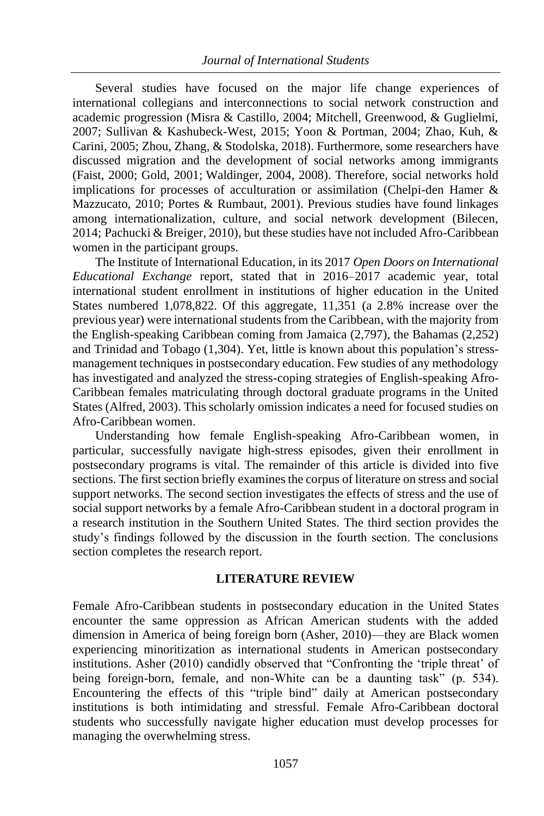Several studies have focused on the major life change experiences of international collegians and interconnections to social network construction and academic progression (Misra & Castillo, 2004; Mitchell, Greenwood, & Guglielmi, 2007; Sullivan & Kashubeck-West, 2015; Yoon & Portman, 2004; Zhao, Kuh, & Carini, 2005; Zhou, Zhang, & Stodolska, 2018). Furthermore, some researchers have discussed migration and the development of social networks among immigrants (Faist, 2000; Gold, 2001; Waldinger, 2004, 2008). Therefore, social networks hold implications for processes of acculturation or assimilation (Chelpi-den Hamer & Mazzucato, 2010; Portes & Rumbaut, 2001). Previous studies have found linkages among internationalization, culture, and social network development (Bilecen, 2014; Pachucki & Breiger, 2010), but these studies have not included Afro-Caribbean women in the participant groups.

The Institute of International Education, in its 2017 *Open Doors on International Educational Exchange* report, stated that in 2016–2017 academic year, total international student enrollment in institutions of higher education in the United States numbered 1,078,822. Of this aggregate, 11,351 (a 2.8% increase over the previous year) were international students from the Caribbean, with the majority from the English-speaking Caribbean coming from Jamaica (2,797), the Bahamas (2,252) and Trinidad and Tobago (1,304). Yet, little is known about this population's stressmanagement techniques in postsecondary education. Few studies of any methodology has investigated and analyzed the stress-coping strategies of English-speaking Afro-Caribbean females matriculating through doctoral graduate programs in the United States (Alfred, 2003). This scholarly omission indicates a need for focused studies on Afro-Caribbean women.

Understanding how female English-speaking Afro-Caribbean women, in particular, successfully navigate high-stress episodes, given their enrollment in postsecondary programs is vital. The remainder of this article is divided into five sections. The first section briefly examines the corpus of literature on stress and social support networks. The second section investigates the effects of stress and the use of social support networks by a female Afro-Caribbean student in a doctoral program in a research institution in the Southern United States. The third section provides the study's findings followed by the discussion in the fourth section. The conclusions section completes the research report.

# **LITERATURE REVIEW**

Female Afro-Caribbean students in postsecondary education in the United States encounter the same oppression as African American students with the added dimension in America of being foreign born (Asher, 2010)—they are Black women experiencing minoritization as international students in American postsecondary institutions. Asher (2010) candidly observed that "Confronting the 'triple threat' of being foreign-born, female, and non-White can be a daunting task" (p. 534). Encountering the effects of this "triple bind" daily at American postsecondary institutions is both intimidating and stressful. Female Afro-Caribbean doctoral students who successfully navigate higher education must develop processes for managing the overwhelming stress.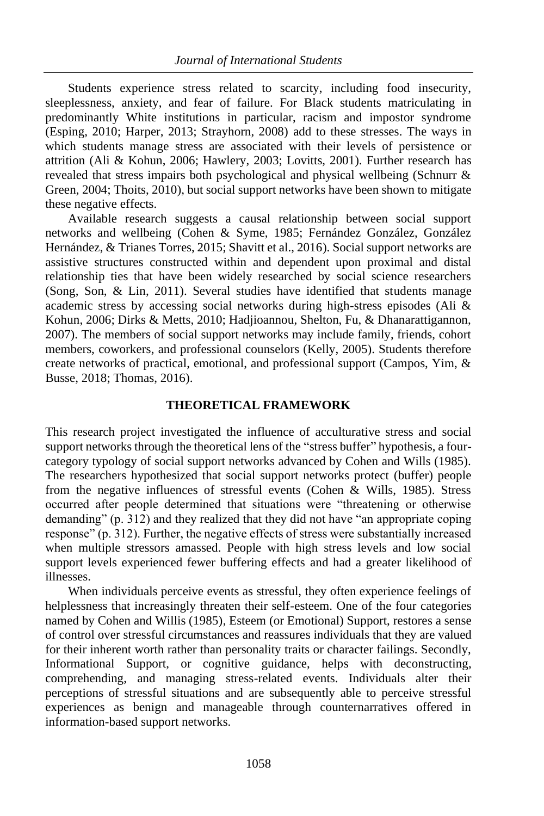Students experience stress related to scarcity, including food insecurity, sleeplessness, anxiety, and fear of failure. For Black students matriculating in predominantly White institutions in particular, racism and impostor syndrome (Esping, 2010; Harper, 2013; Strayhorn, 2008) add to these stresses. The ways in which students manage stress are associated with their levels of persistence or attrition (Ali & Kohun, 2006; Hawlery, 2003; Lovitts, 2001). Further research has revealed that stress impairs both psychological and physical wellbeing (Schnurr & Green, 2004; Thoits, 2010), but social support networks have been shown to mitigate these negative effects.

Available research suggests a causal relationship between social support networks and wellbeing (Cohen & Syme, 1985; Fernández González, González Hernández, & Trianes Torres, 2015; Shavitt et al., 2016). Social support networks are assistive structures constructed within and dependent upon proximal and distal relationship ties that have been widely researched by social science researchers (Song, Son, & Lin, 2011). Several studies have identified that students manage academic stress by accessing social networks during high-stress episodes (Ali & Kohun, 2006; Dirks & Metts, 2010; Hadjioannou, Shelton, Fu, & Dhanarattigannon, 2007). The members of social support networks may include family, friends, cohort members, coworkers, and professional counselors (Kelly, 2005). Students therefore create networks of practical, emotional, and professional support (Campos, Yim, & Busse, 2018; Thomas, 2016).

## **THEORETICAL FRAMEWORK**

This research project investigated the influence of acculturative stress and social support networks through the theoretical lens of the "stress buffer" hypothesis, a fourcategory typology of social support networks advanced by Cohen and Wills (1985). The researchers hypothesized that social support networks protect (buffer) people from the negative influences of stressful events (Cohen & Wills, 1985). Stress occurred after people determined that situations were "threatening or otherwise demanding" (p. 312) and they realized that they did not have "an appropriate coping response" (p. 312). Further, the negative effects of stress were substantially increased when multiple stressors amassed. People with high stress levels and low social support levels experienced fewer buffering effects and had a greater likelihood of illnesses.

When individuals perceive events as stressful, they often experience feelings of helplessness that increasingly threaten their self-esteem. One of the four categories named by Cohen and Willis (1985), Esteem (or Emotional) Support, restores a sense of control over stressful circumstances and reassures individuals that they are valued for their inherent worth rather than personality traits or character failings. Secondly, Informational Support, or cognitive guidance, helps with deconstructing, comprehending, and managing stress-related events. Individuals alter their perceptions of stressful situations and are subsequently able to perceive stressful experiences as benign and manageable through counternarratives offered in information-based support networks.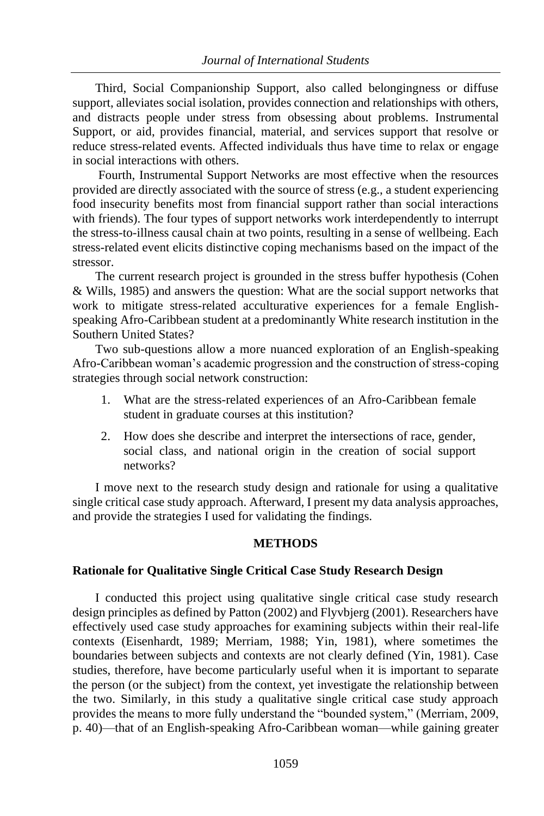Third, Social Companionship Support, also called belongingness or diffuse support, alleviates social isolation, provides connection and relationships with others, and distracts people under stress from obsessing about problems. Instrumental Support, or aid, provides financial, material, and services support that resolve or reduce stress-related events. Affected individuals thus have time to relax or engage in social interactions with others.

Fourth, Instrumental Support Networks are most effective when the resources provided are directly associated with the source of stress (e.g., a student experiencing food insecurity benefits most from financial support rather than social interactions with friends). The four types of support networks work interdependently to interrupt the stress-to-illness causal chain at two points, resulting in a sense of wellbeing. Each stress-related event elicits distinctive coping mechanisms based on the impact of the stressor.

The current research project is grounded in the stress buffer hypothesis (Cohen & Wills, 1985) and answers the question: What are the social support networks that work to mitigate stress-related acculturative experiences for a female Englishspeaking Afro-Caribbean student at a predominantly White research institution in the Southern United States?

Two sub-questions allow a more nuanced exploration of an English-speaking Afro-Caribbean woman's academic progression and the construction of stress-coping strategies through social network construction:

- 1. What are the stress-related experiences of an Afro-Caribbean female student in graduate courses at this institution?
- 2. How does she describe and interpret the intersections of race, gender, social class, and national origin in the creation of social support networks?

I move next to the research study design and rationale for using a qualitative single critical case study approach. Afterward, I present my data analysis approaches, and provide the strategies I used for validating the findings.

# **METHODS**

# **Rationale for Qualitative Single Critical Case Study Research Design**

I conducted this project using qualitative single critical case study research design principles as defined by Patton (2002) and Flyvbjerg (2001). Researchers have effectively used case study approaches for examining subjects within their real-life contexts (Eisenhardt, 1989; Merriam, 1988; Yin, 1981), where sometimes the boundaries between subjects and contexts are not clearly defined (Yin, 1981). Case studies, therefore, have become particularly useful when it is important to separate the person (or the subject) from the context, yet investigate the relationship between the two. Similarly, in this study a qualitative single critical case study approach provides the means to more fully understand the "bounded system," (Merriam, 2009, p. 40)—that of an English-speaking Afro-Caribbean woman—while gaining greater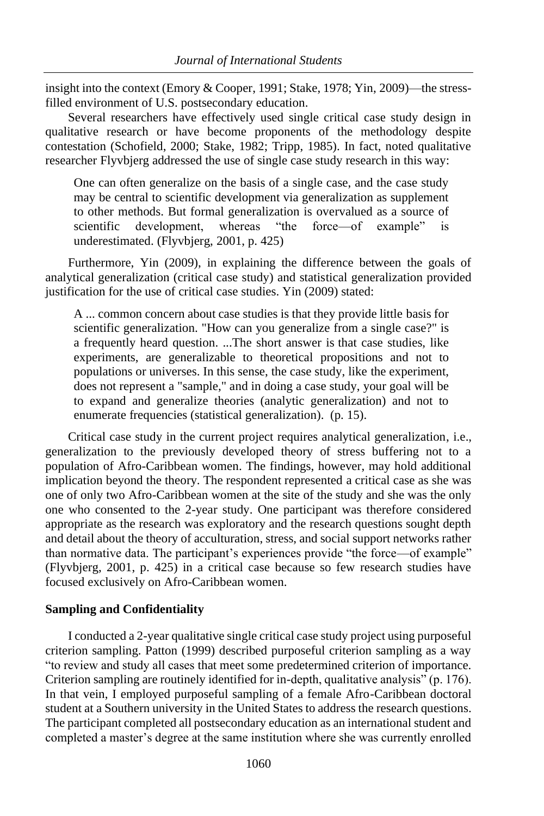insight into the context (Emory & Cooper, 1991; Stake, 1978; Yin, 2009)—the stressfilled environment of U.S. postsecondary education.

Several researchers have effectively used single critical case study design in qualitative research or have become proponents of the methodology despite contestation (Schofield, 2000; Stake, 1982; Tripp, 1985). In fact, noted qualitative researcher Flyvbjerg addressed the use of single case study research in this way:

One can often generalize on the basis of a single case, and the case study may be central to scientific development via generalization as supplement to other methods. But formal generalization is overvalued as a source of scientific development, whereas "the force—of example" is underestimated. (Flyvbjerg, 2001, p. 425)

Furthermore, Yin (2009), in explaining the difference between the goals of analytical generalization (critical case study) and statistical generalization provided justification for the use of critical case studies. Yin (2009) stated:

A ... common concern about case studies is that they provide little basis for scientific generalization. "How can you generalize from a single case?" is a frequently heard question. ...The short answer is that case studies, like experiments, are generalizable to theoretical propositions and not to populations or universes. In this sense, the case study, like the experiment, does not represent a "sample," and in doing a case study, your goal will be to expand and generalize theories (analytic generalization) and not to enumerate frequencies (statistical generalization). (p. 15).

Critical case study in the current project requires analytical generalization, i.e., generalization to the previously developed theory of stress buffering not to a population of Afro-Caribbean women. The findings, however, may hold additional implication beyond the theory. The respondent represented a critical case as she was one of only two Afro-Caribbean women at the site of the study and she was the only one who consented to the 2-year study. One participant was therefore considered appropriate as the research was exploratory and the research questions sought depth and detail about the theory of acculturation, stress, and social support networks rather than normative data. The participant's experiences provide "the force—of example" (Flyvbjerg, 2001, p. 425) in a critical case because so few research studies have focused exclusively on Afro-Caribbean women.

#### **Sampling and Confidentiality**

I conducted a 2-year qualitative single critical case study project using purposeful criterion sampling. Patton (1999) described purposeful criterion sampling as a way "to review and study all cases that meet some predetermined criterion of importance. Criterion sampling are routinely identified for in-depth, qualitative analysis" (p. 176). In that vein, I employed purposeful sampling of a female Afro-Caribbean doctoral student at a Southern university in the United States to address the research questions. The participant completed all postsecondary education as an international student and completed a master's degree at the same institution where she was currently enrolled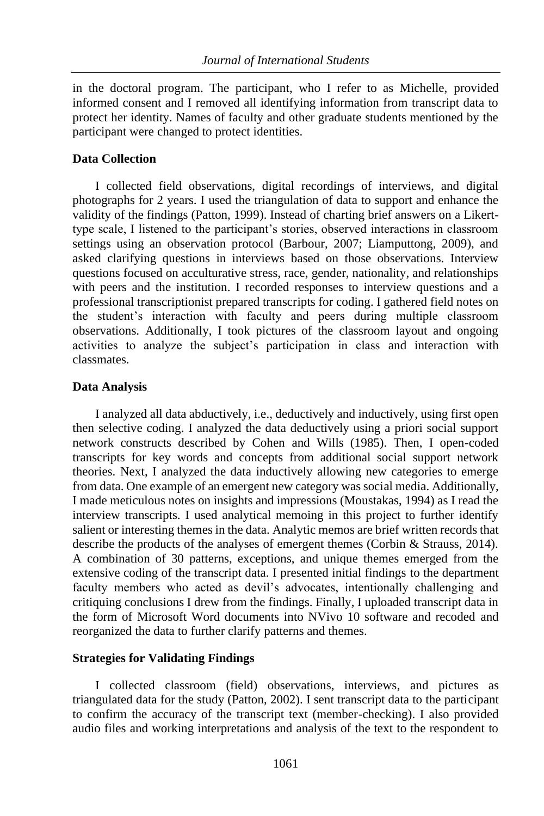in the doctoral program. The participant, who I refer to as Michelle, provided informed consent and I removed all identifying information from transcript data to protect her identity. Names of faculty and other graduate students mentioned by the participant were changed to protect identities.

# **Data Collection**

I collected field observations, digital recordings of interviews, and digital photographs for 2 years. I used the triangulation of data to support and enhance the validity of the findings (Patton, 1999). Instead of charting brief answers on a Likerttype scale, I listened to the participant's stories, observed interactions in classroom settings using an observation protocol (Barbour, 2007; Liamputtong, 2009), and asked clarifying questions in interviews based on those observations. Interview questions focused on acculturative stress, race, gender, nationality, and relationships with peers and the institution. I recorded responses to interview questions and a professional transcriptionist prepared transcripts for coding. I gathered field notes on the student's interaction with faculty and peers during multiple classroom observations. Additionally, I took pictures of the classroom layout and ongoing activities to analyze the subject's participation in class and interaction with classmates.

# **Data Analysis**

I analyzed all data abductively, i.e., deductively and inductively, using first open then selective coding. I analyzed the data deductively using a priori social support network constructs described by Cohen and Wills (1985). Then, I open-coded transcripts for key words and concepts from additional social support network theories. Next, I analyzed the data inductively allowing new categories to emerge from data. One example of an emergent new category was social media. Additionally, I made meticulous notes on insights and impressions (Moustakas, 1994) as I read the interview transcripts. I used analytical memoing in this project to further identify salient or interesting themes in the data. Analytic memos are brief written records that describe the products of the analyses of emergent themes (Corbin & Strauss, 2014). A combination of 30 patterns, exceptions, and unique themes emerged from the extensive coding of the transcript data. I presented initial findings to the department faculty members who acted as devil's advocates, intentionally challenging and critiquing conclusions I drew from the findings. Finally, I uploaded transcript data in the form of Microsoft Word documents into NVivo 10 software and recoded and reorganized the data to further clarify patterns and themes.

# **Strategies for Validating Findings**

I collected classroom (field) observations, interviews, and pictures as triangulated data for the study (Patton, 2002). I sent transcript data to the participant to confirm the accuracy of the transcript text (member-checking). I also provided audio files and working interpretations and analysis of the text to the respondent to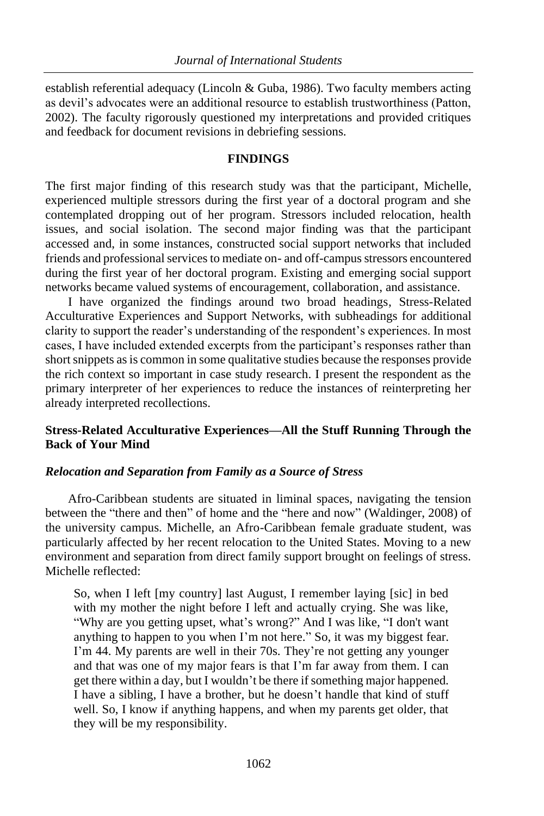establish referential adequacy (Lincoln & Guba, 1986). Two faculty members acting as devil's advocates were an additional resource to establish trustworthiness (Patton, 2002). The faculty rigorously questioned my interpretations and provided critiques and feedback for document revisions in debriefing sessions.

## **FINDINGS**

The first major finding of this research study was that the participant, Michelle, experienced multiple stressors during the first year of a doctoral program and she contemplated dropping out of her program. Stressors included relocation, health issues, and social isolation. The second major finding was that the participant accessed and, in some instances, constructed social support networks that included friends and professional services to mediate on- and off-campus stressors encountered during the first year of her doctoral program. Existing and emerging social support networks became valued systems of encouragement, collaboration, and assistance.

I have organized the findings around two broad headings, Stress-Related Acculturative Experiences and Support Networks, with subheadings for additional clarity to support the reader's understanding of the respondent's experiences. In most cases, I have included extended excerpts from the participant's responses rather than short snippets as is common in some qualitative studies because the responses provide the rich context so important in case study research. I present the respondent as the primary interpreter of her experiences to reduce the instances of reinterpreting her already interpreted recollections.

# **Stress-Related Acculturative Experiences—All the Stuff Running Through the Back of Your Mind**

# *Relocation and Separation from Family as a Source of Stress*

Afro-Caribbean students are situated in liminal spaces, navigating the tension between the "there and then" of home and the "here and now" (Waldinger, 2008) of the university campus. Michelle, an Afro-Caribbean female graduate student, was particularly affected by her recent relocation to the United States. Moving to a new environment and separation from direct family support brought on feelings of stress. Michelle reflected:

So, when I left [my country] last August, I remember laying [sic] in bed with my mother the night before I left and actually crying. She was like, "Why are you getting upset, what's wrong?" And I was like, "I don't want anything to happen to you when I'm not here." So, it was my biggest fear. I'm 44. My parents are well in their 70s. They're not getting any younger and that was one of my major fears is that I'm far away from them. I can get there within a day, but I wouldn't be there if something major happened. I have a sibling, I have a brother, but he doesn't handle that kind of stuff well. So, I know if anything happens, and when my parents get older, that they will be my responsibility.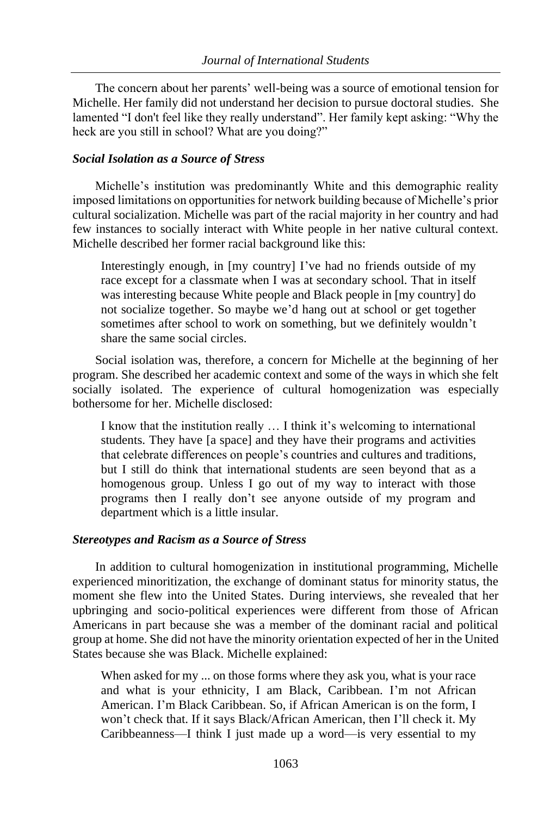The concern about her parents' well-being was a source of emotional tension for Michelle. Her family did not understand her decision to pursue doctoral studies. She lamented "I don't feel like they really understand". Her family kept asking: "Why the heck are you still in school? What are you doing?"

# *Social Isolation as a Source of Stress*

Michelle's institution was predominantly White and this demographic reality imposed limitations on opportunities for network building because of Michelle's prior cultural socialization. Michelle was part of the racial majority in her country and had few instances to socially interact with White people in her native cultural context. Michelle described her former racial background like this:

Interestingly enough, in [my country] I've had no friends outside of my race except for a classmate when I was at secondary school. That in itself was interesting because White people and Black people in [my country] do not socialize together. So maybe we'd hang out at school or get together sometimes after school to work on something, but we definitely wouldn't share the same social circles.

Social isolation was, therefore, a concern for Michelle at the beginning of her program. She described her academic context and some of the ways in which she felt socially isolated. The experience of cultural homogenization was especially bothersome for her. Michelle disclosed:

I know that the institution really … I think it's welcoming to international students. They have [a space] and they have their programs and activities that celebrate differences on people's countries and cultures and traditions, but I still do think that international students are seen beyond that as a homogenous group. Unless I go out of my way to interact with those programs then I really don't see anyone outside of my program and department which is a little insular.

# *Stereotypes and Racism as a Source of Stress*

In addition to cultural homogenization in institutional programming, Michelle experienced minoritization, the exchange of dominant status for minority status, the moment she flew into the United States. During interviews, she revealed that her upbringing and socio-political experiences were different from those of African Americans in part because she was a member of the dominant racial and political group at home. She did not have the minority orientation expected of her in the United States because she was Black. Michelle explained:

When asked for my ... on those forms where they ask you, what is your race and what is your ethnicity, I am Black, Caribbean. I'm not African American. I'm Black Caribbean. So, if African American is on the form, I won't check that. If it says Black/African American, then I'll check it. My Caribbeanness—I think I just made up a word—is very essential to my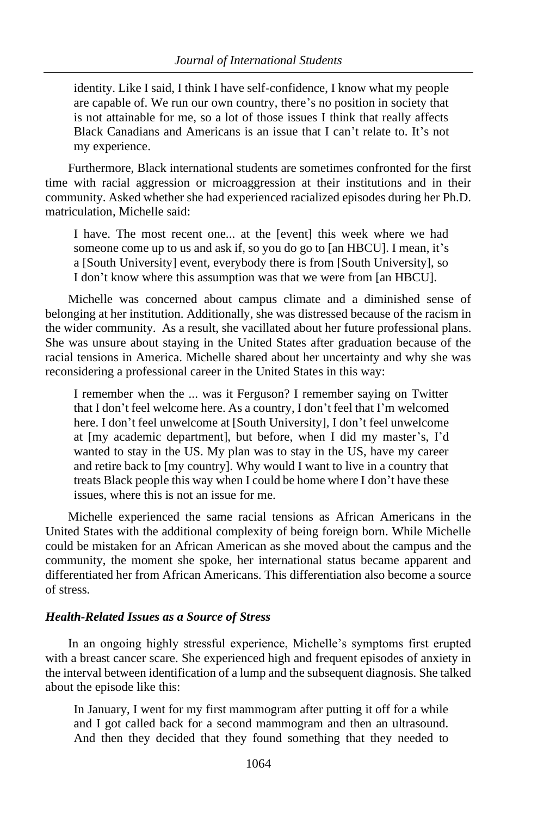identity. Like I said, I think I have self-confidence, I know what my people are capable of. We run our own country, there's no position in society that is not attainable for me, so a lot of those issues I think that really affects Black Canadians and Americans is an issue that I can't relate to. It's not my experience.

Furthermore, Black international students are sometimes confronted for the first time with racial aggression or microaggression at their institutions and in their community. Asked whether she had experienced racialized episodes during her Ph.D. matriculation, Michelle said:

I have. The most recent one... at the [event] this week where we had someone come up to us and ask if, so you do go to [an HBCU]. I mean, it's a [South University] event, everybody there is from [South University], so I don't know where this assumption was that we were from [an HBCU].

Michelle was concerned about campus climate and a diminished sense of belonging at her institution. Additionally, she was distressed because of the racism in the wider community. As a result, she vacillated about her future professional plans. She was unsure about staying in the United States after graduation because of the racial tensions in America. Michelle shared about her uncertainty and why she was reconsidering a professional career in the United States in this way:

I remember when the ... was it Ferguson? I remember saying on Twitter that I don't feel welcome here. As a country, I don't feel that I'm welcomed here. I don't feel unwelcome at [South University], I don't feel unwelcome at [my academic department], but before, when I did my master's, I'd wanted to stay in the US. My plan was to stay in the US, have my career and retire back to [my country]. Why would I want to live in a country that treats Black people this way when I could be home where I don't have these issues, where this is not an issue for me.

Michelle experienced the same racial tensions as African Americans in the United States with the additional complexity of being foreign born. While Michelle could be mistaken for an African American as she moved about the campus and the community, the moment she spoke, her international status became apparent and differentiated her from African Americans. This differentiation also become a source of stress.

#### *Health-Related Issues as a Source of Stress*

In an ongoing highly stressful experience, Michelle's symptoms first erupted with a breast cancer scare. She experienced high and frequent episodes of anxiety in the interval between identification of a lump and the subsequent diagnosis. She talked about the episode like this:

In January, I went for my first mammogram after putting it off for a while and I got called back for a second mammogram and then an ultrasound. And then they decided that they found something that they needed to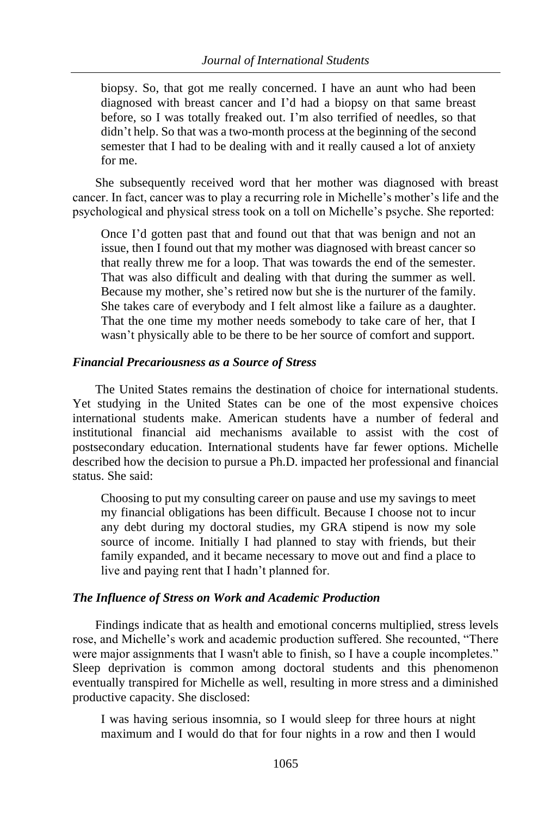biopsy. So, that got me really concerned. I have an aunt who had been diagnosed with breast cancer and I'd had a biopsy on that same breast before, so I was totally freaked out. I'm also terrified of needles, so that didn't help. So that was a two-month process at the beginning of the second semester that I had to be dealing with and it really caused a lot of anxiety for me.

She subsequently received word that her mother was diagnosed with breast cancer. In fact, cancer was to play a recurring role in Michelle's mother's life and the psychological and physical stress took on a toll on Michelle's psyche. She reported:

Once I'd gotten past that and found out that that was benign and not an issue, then I found out that my mother was diagnosed with breast cancer so that really threw me for a loop. That was towards the end of the semester. That was also difficult and dealing with that during the summer as well. Because my mother, she's retired now but she is the nurturer of the family. She takes care of everybody and I felt almost like a failure as a daughter. That the one time my mother needs somebody to take care of her, that I wasn't physically able to be there to be her source of comfort and support.

# *Financial Precariousness as a Source of Stress*

The United States remains the destination of choice for international students. Yet studying in the United States can be one of the most expensive choices international students make. American students have a number of federal and institutional financial aid mechanisms available to assist with the cost of postsecondary education. International students have far fewer options. Michelle described how the decision to pursue a Ph.D. impacted her professional and financial status. She said:

Choosing to put my consulting career on pause and use my savings to meet my financial obligations has been difficult. Because I choose not to incur any debt during my doctoral studies, my GRA stipend is now my sole source of income. Initially I had planned to stay with friends, but their family expanded, and it became necessary to move out and find a place to live and paying rent that I hadn't planned for.

# *The Influence of Stress on Work and Academic Production*

Findings indicate that as health and emotional concerns multiplied, stress levels rose, and Michelle's work and academic production suffered. She recounted, "There were major assignments that I wasn't able to finish, so I have a couple incompletes." Sleep deprivation is common among doctoral students and this phenomenon eventually transpired for Michelle as well, resulting in more stress and a diminished productive capacity. She disclosed:

I was having serious insomnia, so I would sleep for three hours at night maximum and I would do that for four nights in a row and then I would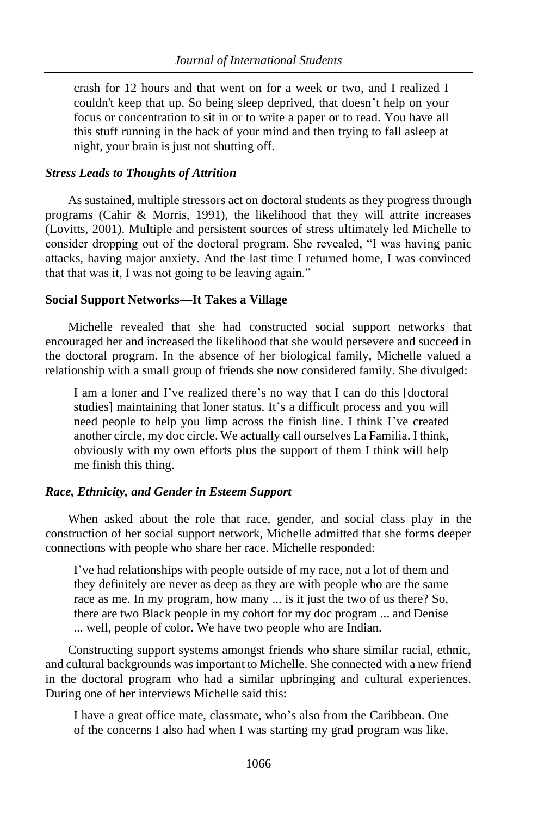crash for 12 hours and that went on for a week or two, and I realized I couldn't keep that up. So being sleep deprived, that doesn't help on your focus or concentration to sit in or to write a paper or to read. You have all this stuff running in the back of your mind and then trying to fall asleep at night, your brain is just not shutting off.

## *Stress Leads to Thoughts of Attrition*

As sustained, multiple stressors act on doctoral students as they progress through programs (Cahir & Morris, 1991), the likelihood that they will attrite increases (Lovitts, 2001). Multiple and persistent sources of stress ultimately led Michelle to consider dropping out of the doctoral program. She revealed, "I was having panic attacks, having major anxiety. And the last time I returned home, I was convinced that that was it, I was not going to be leaving again."

## **Social Support Networks—It Takes a Village**

Michelle revealed that she had constructed social support networks that encouraged her and increased the likelihood that she would persevere and succeed in the doctoral program. In the absence of her biological family, Michelle valued a relationship with a small group of friends she now considered family. She divulged:

I am a loner and I've realized there's no way that I can do this [doctoral studies] maintaining that loner status. It's a difficult process and you will need people to help you limp across the finish line. I think I've created another circle, my doc circle. We actually call ourselves La Familia. I think, obviously with my own efforts plus the support of them I think will help me finish this thing.

# *Race, Ethnicity, and Gender in Esteem Support*

When asked about the role that race, gender, and social class play in the construction of her social support network, Michelle admitted that she forms deeper connections with people who share her race. Michelle responded:

I've had relationships with people outside of my race, not a lot of them and they definitely are never as deep as they are with people who are the same race as me. In my program, how many ... is it just the two of us there? So, there are two Black people in my cohort for my doc program ... and Denise ... well, people of color. We have two people who are Indian.

Constructing support systems amongst friends who share similar racial, ethnic, and cultural backgrounds was important to Michelle. She connected with a new friend in the doctoral program who had a similar upbringing and cultural experiences. During one of her interviews Michelle said this:

I have a great office mate, classmate, who's also from the Caribbean. One of the concerns I also had when I was starting my grad program was like,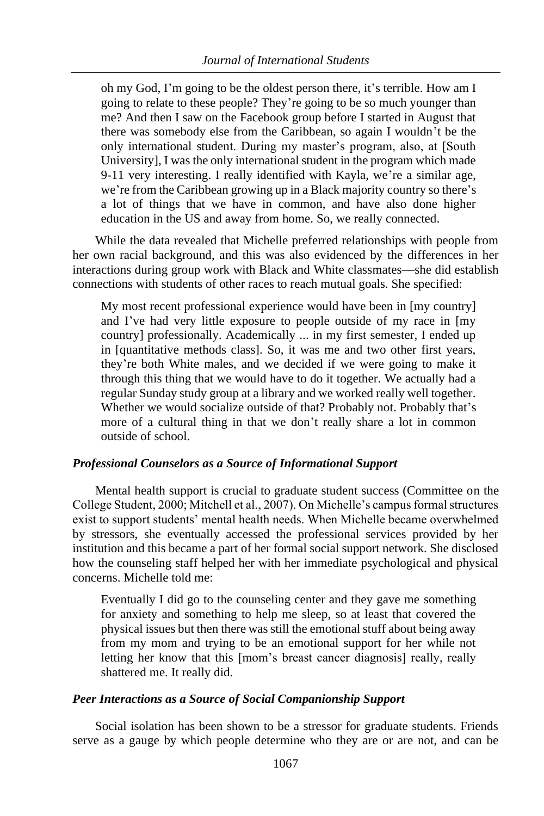oh my God, I'm going to be the oldest person there, it's terrible. How am I going to relate to these people? They're going to be so much younger than me? And then I saw on the Facebook group before I started in August that there was somebody else from the Caribbean, so again I wouldn't be the only international student. During my master's program, also, at [South University], I was the only international student in the program which made 9-11 very interesting. I really identified with Kayla, we're a similar age, we're from the Caribbean growing up in a Black majority country so there's a lot of things that we have in common, and have also done higher education in the US and away from home. So, we really connected.

While the data revealed that Michelle preferred relationships with people from her own racial background, and this was also evidenced by the differences in her interactions during group work with Black and White classmates—she did establish connections with students of other races to reach mutual goals. She specified:

My most recent professional experience would have been in [my country] and I've had very little exposure to people outside of my race in [my country] professionally. Academically ... in my first semester, I ended up in [quantitative methods class]. So, it was me and two other first years, they're both White males, and we decided if we were going to make it through this thing that we would have to do it together. We actually had a regular Sunday study group at a library and we worked really well together. Whether we would socialize outside of that? Probably not. Probably that's more of a cultural thing in that we don't really share a lot in common outside of school.

# *Professional Counselors as a Source of Informational Support*

Mental health support is crucial to graduate student success (Committee on the College Student, 2000; Mitchell et al., 2007). On Michelle's campus formal structures exist to support students' mental health needs. When Michelle became overwhelmed by stressors, she eventually accessed the professional services provided by her institution and this became a part of her formal social support network. She disclosed how the counseling staff helped her with her immediate psychological and physical concerns. Michelle told me:

Eventually I did go to the counseling center and they gave me something for anxiety and something to help me sleep, so at least that covered the physical issues but then there was still the emotional stuff about being away from my mom and trying to be an emotional support for her while not letting her know that this [mom's breast cancer diagnosis] really, really shattered me. It really did.

# *Peer Interactions as a Source of Social Companionship Support*

Social isolation has been shown to be a stressor for graduate students. Friends serve as a gauge by which people determine who they are or are not, and can be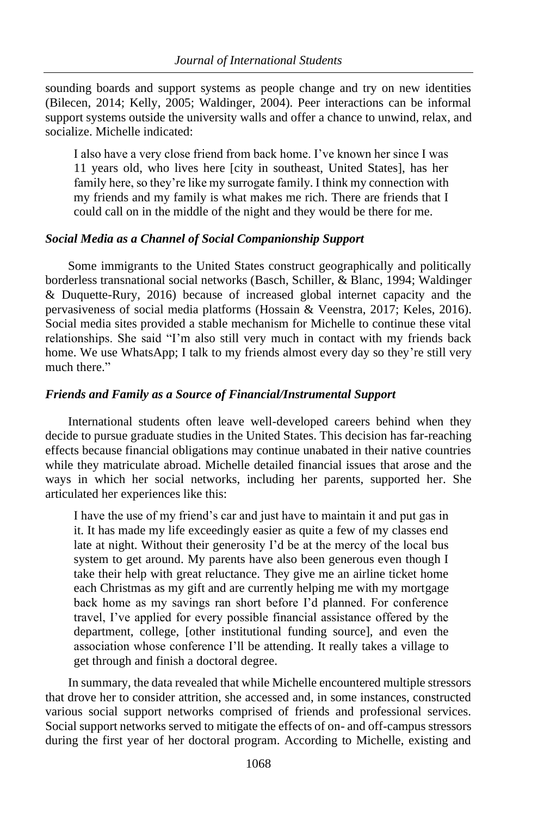sounding boards and support systems as people change and try on new identities (Bilecen, 2014; Kelly, 2005; Waldinger, 2004). Peer interactions can be informal support systems outside the university walls and offer a chance to unwind, relax, and socialize. Michelle indicated:

I also have a very close friend from back home. I've known her since I was 11 years old, who lives here [city in southeast, United States], has her family here, so they're like my surrogate family. I think my connection with my friends and my family is what makes me rich. There are friends that I could call on in the middle of the night and they would be there for me.

# *Social Media as a Channel of Social Companionship Support*

Some immigrants to the United States construct geographically and politically borderless transnational social networks (Basch, Schiller, & Blanc, 1994; Waldinger & Duquette-Rury, 2016) because of increased global internet capacity and the pervasiveness of social media platforms (Hossain & Veenstra, 2017; Keles, 2016). Social media sites provided a stable mechanism for Michelle to continue these vital relationships. She said "I'm also still very much in contact with my friends back home. We use WhatsApp; I talk to my friends almost every day so they're still very much there."

# *Friends and Family as a Source of Financial/Instrumental Support*

International students often leave well-developed careers behind when they decide to pursue graduate studies in the United States. This decision has far-reaching effects because financial obligations may continue unabated in their native countries while they matriculate abroad. Michelle detailed financial issues that arose and the ways in which her social networks, including her parents, supported her. She articulated her experiences like this:

I have the use of my friend's car and just have to maintain it and put gas in it. It has made my life exceedingly easier as quite a few of my classes end late at night. Without their generosity I'd be at the mercy of the local bus system to get around. My parents have also been generous even though I take their help with great reluctance. They give me an airline ticket home each Christmas as my gift and are currently helping me with my mortgage back home as my savings ran short before I'd planned. For conference travel, I've applied for every possible financial assistance offered by the department, college, [other institutional funding source], and even the association whose conference I'll be attending. It really takes a village to get through and finish a doctoral degree.

In summary, the data revealed that while Michelle encountered multiple stressors that drove her to consider attrition, she accessed and, in some instances, constructed various social support networks comprised of friends and professional services. Social support networks served to mitigate the effects of on- and off-campus stressors during the first year of her doctoral program. According to Michelle, existing and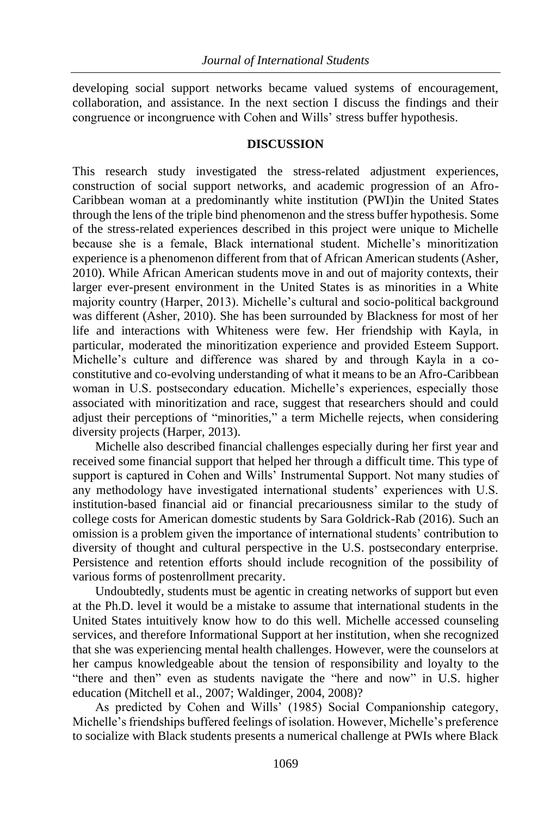developing social support networks became valued systems of encouragement, collaboration, and assistance. In the next section I discuss the findings and their congruence or incongruence with Cohen and Wills' stress buffer hypothesis.

#### **DISCUSSION**

This research study investigated the stress-related adjustment experiences, construction of social support networks, and academic progression of an Afro-Caribbean woman at a predominantly white institution (PWI)in the United States through the lens of the triple bind phenomenon and the stress buffer hypothesis. Some of the stress-related experiences described in this project were unique to Michelle because she is a female, Black international student. Michelle's minoritization experience is a phenomenon different from that of African American students (Asher, 2010). While African American students move in and out of majority contexts, their larger ever-present environment in the United States is as minorities in a White majority country (Harper, 2013). Michelle's cultural and socio-political background was different (Asher, 2010). She has been surrounded by Blackness for most of her life and interactions with Whiteness were few. Her friendship with Kayla, in particular, moderated the minoritization experience and provided Esteem Support. Michelle's culture and difference was shared by and through Kayla in a coconstitutive and co-evolving understanding of what it means to be an Afro-Caribbean woman in U.S. postsecondary education. Michelle's experiences, especially those associated with minoritization and race, suggest that researchers should and could adjust their perceptions of "minorities," a term Michelle rejects, when considering diversity projects (Harper, 2013).

Michelle also described financial challenges especially during her first year and received some financial support that helped her through a difficult time. This type of support is captured in Cohen and Wills' Instrumental Support. Not many studies of any methodology have investigated international students' experiences with U.S. institution-based financial aid or financial precariousness similar to the study of college costs for American domestic students by Sara Goldrick-Rab (2016). Such an omission is a problem given the importance of international students' contribution to diversity of thought and cultural perspective in the U.S. postsecondary enterprise. Persistence and retention efforts should include recognition of the possibility of various forms of postenrollment precarity.

Undoubtedly, students must be agentic in creating networks of support but even at the Ph.D. level it would be a mistake to assume that international students in the United States intuitively know how to do this well. Michelle accessed counseling services, and therefore Informational Support at her institution, when she recognized that she was experiencing mental health challenges. However, were the counselors at her campus knowledgeable about the tension of responsibility and loyalty to the "there and then" even as students navigate the "here and now" in U.S. higher education (Mitchell et al., 2007; Waldinger, 2004, 2008)?

As predicted by Cohen and Wills' (1985) Social Companionship category, Michelle's friendships buffered feelings of isolation. However, Michelle's preference to socialize with Black students presents a numerical challenge at PWIs where Black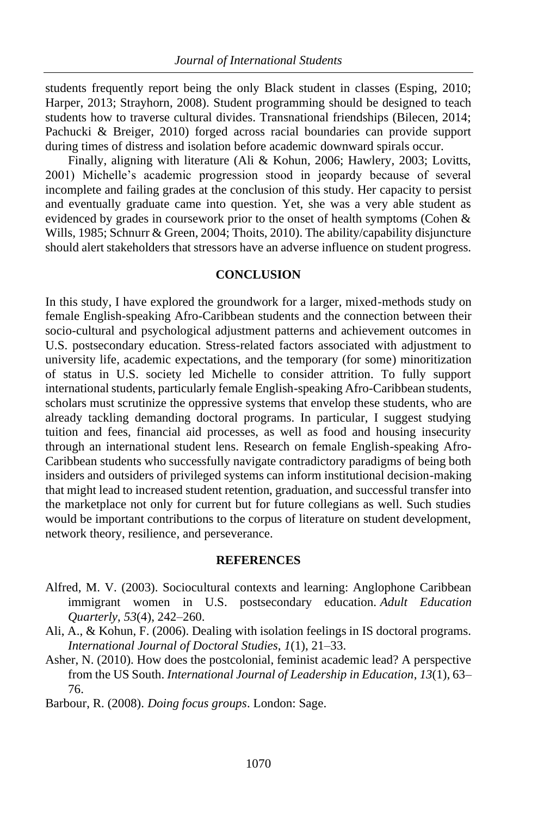students frequently report being the only Black student in classes (Esping, 2010; Harper, 2013; Strayhorn, 2008). Student programming should be designed to teach students how to traverse cultural divides. Transnational friendships (Bilecen, 2014; Pachucki & Breiger, 2010) forged across racial boundaries can provide support during times of distress and isolation before academic downward spirals occur.

Finally, aligning with literature (Ali & Kohun, 2006; Hawlery, 2003; Lovitts, 2001) Michelle's academic progression stood in jeopardy because of several incomplete and failing grades at the conclusion of this study. Her capacity to persist and eventually graduate came into question. Yet, she was a very able student as evidenced by grades in coursework prior to the onset of health symptoms (Cohen & Wills, 1985; Schnurr & Green, 2004; Thoits, 2010). The ability/capability disjuncture should alert stakeholders that stressors have an adverse influence on student progress.

## **CONCLUSION**

In this study, I have explored the groundwork for a larger, mixed-methods study on female English-speaking Afro-Caribbean students and the connection between their socio-cultural and psychological adjustment patterns and achievement outcomes in U.S. postsecondary education. Stress-related factors associated with adjustment to university life, academic expectations, and the temporary (for some) minoritization of status in U.S. society led Michelle to consider attrition. To fully support international students, particularly female English-speaking Afro-Caribbean students, scholars must scrutinize the oppressive systems that envelop these students, who are already tackling demanding doctoral programs. In particular, I suggest studying tuition and fees, financial aid processes, as well as food and housing insecurity through an international student lens. Research on female English-speaking Afro-Caribbean students who successfully navigate contradictory paradigms of being both insiders and outsiders of privileged systems can inform institutional decision-making that might lead to increased student retention, graduation, and successful transfer into the marketplace not only for current but for future collegians as well. Such studies would be important contributions to the corpus of literature on student development, network theory, resilience, and perseverance.

# **REFERENCES**

- Alfred, M. V. (2003). Sociocultural contexts and learning: Anglophone Caribbean immigrant women in U.S. postsecondary education. *Adult Education Quarterly*, *53*(4), 242–260.
- Ali, A., & Kohun, F. (2006). Dealing with isolation feelings in IS doctoral programs. *International Journal of Doctoral Studies*, *1*(1), 21–33.
- Asher, N. (2010). How does the postcolonial, feminist academic lead? A perspective from the US South. *International Journal of Leadership in Education*, *13*(1), 63– 76.
- Barbour, R. (2008). *Doing focus groups*. London: Sage.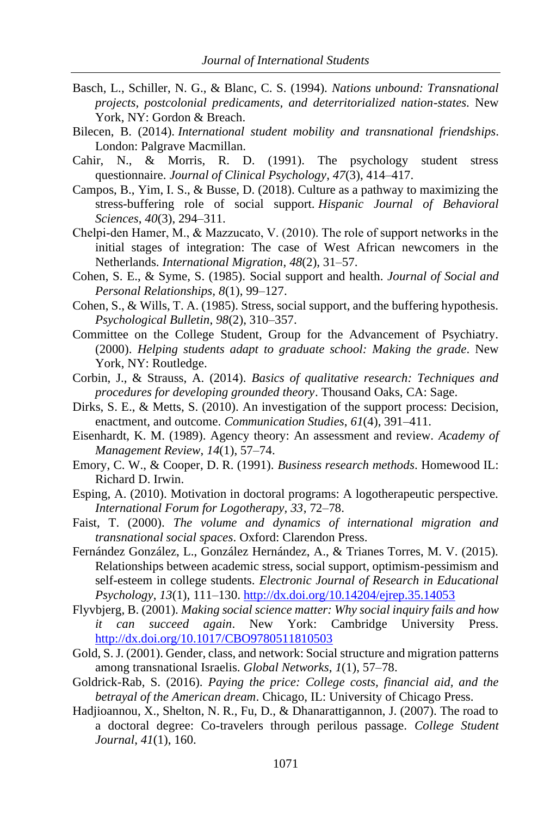- Basch, L., Schiller, N. G., & Blanc, C. S. (1994). *Nations unbound: Transnational projects, postcolonial predicaments, and deterritorialized nation-states*. New York, NY: Gordon & Breach.
- Bilecen, B. (2014). *International student mobility and transnational friendships*. London: Palgrave Macmillan.
- Cahir, N., & Morris, R. D. (1991). The psychology student stress questionnaire. *Journal of Clinical Psychology*, *47*(3), 414–417.
- Campos, B., Yim, I. S., & Busse, D. (2018). Culture as a pathway to maximizing the stress-buffering role of social support. *Hispanic Journal of Behavioral Sciences*, *40*(3), 294–311.
- Chelpi-den Hamer, M., & Mazzucato, V. (2010). The role of support networks in the initial stages of integration: The case of West African newcomers in the Netherlands. *International Migration*, *48*(2), 31–57.
- Cohen, S. E., & Syme, S. (1985). Social support and health. *Journal of Social and Personal Relationships, 8*(1), 99–127.
- Cohen, S., & Wills, T. A. (1985). Stress, social support, and the buffering hypothesis. *Psychological Bulletin*, *98*(2), 310–357.
- Committee on the College Student, Group for the Advancement of Psychiatry. (2000). *Helping students adapt to graduate school: Making the grade*. New York, NY: Routledge.
- Corbin, J., & Strauss, A. (2014). *Basics of qualitative research: Techniques and procedures for developing grounded theory*. Thousand Oaks, CA: Sage.
- Dirks, S. E., & Metts, S. (2010). An investigation of the support process: Decision, enactment, and outcome. *Communication Studies*, *61*(4), 391–411.
- Eisenhardt, K. M. (1989). Agency theory: An assessment and review. *Academy of Management Review*, *14*(1), 57–74.
- Emory, C. W., & Cooper, D. R. (1991). *Business research methods*. Homewood IL: Richard D. Irwin.
- Esping, A. (2010). Motivation in doctoral programs: A logotherapeutic perspective. *International Forum for Logotherapy, 33*, 72–78.
- Faist, T. (2000). *The volume and dynamics of international migration and transnational social spaces*. Oxford: Clarendon Press.
- Fernández González, L., González Hernández, A., & Trianes Torres, M. V. (2015). Relationships between academic stress, social support, optimism-pessimism and self-esteem in college students. *Electronic Journal of Research in Educational Psychology*, *13*(1), 111–130[. http://dx.doi.org/10.14204/ejrep.35.14053](http://dx.doi.org/10.14204/ejrep.35.14053)
- Flyvbjerg, B. (2001). *Making social science matter: Why social inquiry fails and how it can succeed again*. New York: Cambridge University Press. <http://dx.doi.org/10.1017/CBO9780511810503>
- Gold, S. J. (2001). Gender, class, and network: Social structure and migration patterns among transnational Israelis. *Global Networks*, *1*(1), 57–78.
- Goldrick-Rab, S. (2016). *Paying the price: College costs, financial aid, and the betrayal of the American dream*. Chicago, IL: University of Chicago Press.
- Hadjioannou, X., Shelton, N. R., Fu, D., & Dhanarattigannon, J. (2007). The road to a doctoral degree: Co-travelers through perilous passage. *College Student Journal*, *41*(1), 160.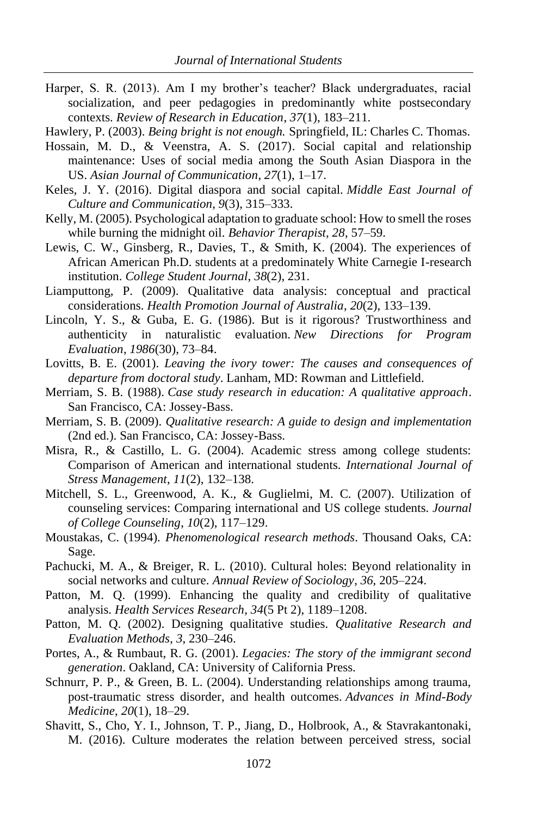Harper, S. R. (2013). Am I my brother's teacher? Black undergraduates, racial socialization, and peer pedagogies in predominantly white postsecondary contexts. *Review of Research in Education*, *37*(1), 183–211.

Hawlery, P. (2003). *Being bright is not enough.* Springfield, IL: Charles C. Thomas.

- Hossain, M. D., & Veenstra, A. S. (2017). Social capital and relationship maintenance: Uses of social media among the South Asian Diaspora in the US. *Asian Journal of Communication*, *27*(1), 1–17.
- Keles, J. Y. (2016). Digital diaspora and social capital. *Middle East Journal of Culture and Communication*, *9*(3), 315–333.
- Kelly, M. (2005). Psychological adaptation to graduate school: How to smell the roses while burning the midnight oil. *Behavior Therapist, 28*, 57–59.
- Lewis, C. W., Ginsberg, R., Davies, T., & Smith, K. (2004). The experiences of African American Ph.D. students at a predominately White Carnegie I-research institution. *College Student Journal*, *38*(2), 231.
- Liamputtong, P. (2009). Qualitative data analysis: conceptual and practical considerations. *Health Promotion Journal of Australia*, *20*(2), 133–139.
- Lincoln, Y. S., & Guba, E. G. (1986). But is it rigorous? Trustworthiness and authenticity in naturalistic evaluation. *New Directions for Program Evaluation*, *1986*(30), 73–84.
- Lovitts, B. E. (2001). *Leaving the ivory tower: The causes and consequences of departure from doctoral study*. Lanham, MD: Rowman and Littlefield.
- Merriam, S. B. (1988). *Case study research in education: A qualitative approach*. San Francisco, CA: Jossey-Bass.
- Merriam, S. B. (2009). *Qualitative research: A guide to design and implementation* (2nd ed.). San Francisco, CA: Jossey-Bass.
- Misra, R., & Castillo, L. G. (2004). Academic stress among college students: Comparison of American and international students. *International Journal of Stress Management*, *11*(2), 132–138.
- Mitchell, S. L., Greenwood, A. K., & Guglielmi, M. C. (2007). Utilization of counseling services: Comparing international and US college students. *Journal of College Counseling*, *10*(2), 117–129.
- Moustakas, C. (1994). *Phenomenological research methods*. Thousand Oaks, CA: Sage.
- Pachucki, M. A., & Breiger, R. L. (2010). Cultural holes: Beyond relationality in social networks and culture. *Annual Review of Sociology*, *36*, 205–224.
- Patton, M. Q. (1999). Enhancing the quality and credibility of qualitative analysis. *Health Services Research*, *34*(5 Pt 2), 1189–1208.
- Patton, M. Q. (2002). Designing qualitative studies. *Qualitative Research and Evaluation Methods*, *3*, 230–246.
- Portes, A., & Rumbaut, R. G. (2001). *Legacies: The story of the immigrant second generation*. Oakland, CA: University of California Press.
- Schnurr, P. P., & Green, B. L. (2004). Understanding relationships among trauma, post-traumatic stress disorder, and health outcomes. *Advances in Mind-Body Medicine*, *20*(1), 18–29.
- Shavitt, S., Cho, Y. I., Johnson, T. P., Jiang, D., Holbrook, A., & Stavrakantonaki, M. (2016). Culture moderates the relation between perceived stress, social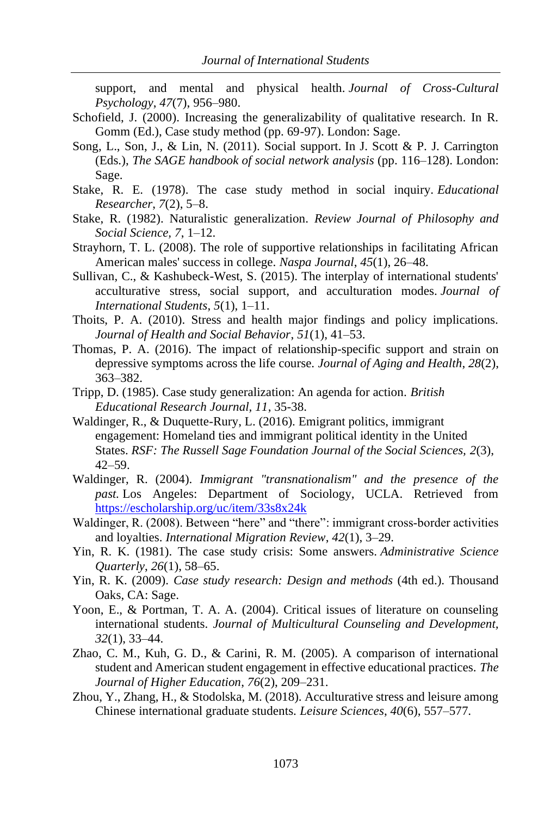support, and mental and physical health. *Journal of Cross-Cultural Psychology*, *47*(7), 956–980.

- Schofield, J. (2000). Increasing the generalizability of qualitative research. In R. Gomm (Ed.), Case study method (pp. 69-97). London: Sage.
- Song, L., Son, J., & Lin, N. (2011). Social support. In J. Scott & P. J. Carrington (Eds.), *The SAGE handbook of social network analysis* (pp. 116–128). London: Sage.
- Stake, R. E. (1978). The case study method in social inquiry. *Educational Researcher*, *7*(2), 5–8.
- Stake, R. (1982). Naturalistic generalization. *Review Journal of Philosophy and Social Science, 7*, 1–12.
- Strayhorn, T. L. (2008). The role of supportive relationships in facilitating African American males' success in college. *Naspa Journal*, *45*(1), 26–48.
- Sullivan, C., & Kashubeck-West, S. (2015). The interplay of international students' acculturative stress, social support, and acculturation modes. *Journal of International Students*, *5*(1), 1–11.
- Thoits, P. A. (2010). Stress and health major findings and policy implications. *Journal of Health and Social Behavior*, *51*(1), 41–53.
- Thomas, P. A. (2016). The impact of relationship-specific support and strain on depressive symptoms across the life course. *Journal of Aging and Health*, *28*(2), 363–382.
- Tripp, D. (1985). Case study generalization: An agenda for action. *British Educational Research Journal, 11*, 35-38.
- Waldinger, R., & Duquette-Rury, L. (2016). Emigrant politics, immigrant engagement: Homeland ties and immigrant political identity in the United States. *RSF: The Russell Sage Foundation Journal of the Social Sciences, 2*(3), 42–59.
- Waldinger, R. (2004). *Immigrant "transnationalism" and the presence of the past.* Los Angeles: Department of Sociology, UCLA. Retrieved from <https://escholarship.org/uc/item/33s8x24k>
- Waldinger, R. (2008). Between "here" and "there": immigrant cross-border activities and loyalties. *International Migration Review*, *42*(1), 3–29.
- Yin, R. K. (1981). The case study crisis: Some answers. *Administrative Science Quarterly*, *26*(1), 58–65.
- Yin, R. K. (2009). *Case study research: Design and methods* (4th ed.). Thousand Oaks, CA: Sage.
- Yoon, E., & Portman, T. A. A. (2004). Critical issues of literature on counseling international students. *Journal of Multicultural Counseling and Development, 32*(1), 33–44.
- Zhao, C. M., Kuh, G. D., & Carini, R. M. (2005). A comparison of international student and American student engagement in effective educational practices. *The Journal of Higher Education*, *76*(2), 209–231.
- Zhou, Y., Zhang, H., & Stodolska, M. (2018). Acculturative stress and leisure among Chinese international graduate students. *Leisure Sciences*, *40*(6), 557–577.